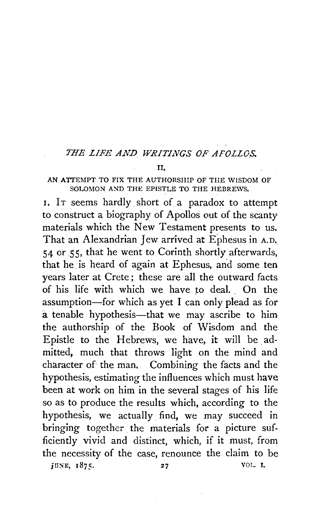## THE LIFE AND WRITINGS OF AFOLLOS.

## II,

## AN ATTEMPT TO FIX THE AUTHORSHIP OF THE WISDOM OF SOLOMON AND THE EPISTLE TO THE HEBREWS.

1. IT seems hardly short of a paradox to attempt to construct a biography of Apollos out of the scanty materials which the New Testament presents to us. That an Alexandrian Jew arrived at Ephesus in A.D. 54 or SS, that he went to Corinth shortly afterwards, that he is heard of again at Ephesus, and some ten years later at Crete ; these are all the outward facts of his life with which we have to deal. On the assumption~for which as yet I can only plead as for a tenable hypothesis—that we may ascribe to him the authorship of the Book of Wisdom and the Epistle to the Hebrews, we have, it will be admitted, much that throws light on the mind and character of the man. Combining the facts and the hypothesis, estimating the influences which must have been at work on him in the several stages of his life so as to produce the results which, according to the hypothesis, we actually find, we may succeed in bringing together the materials for a picture sufficiently vivid and distinct, which, if it must, from the necessity of the case, renounce the claim to be JUNE, 1875. 27 VOL. I.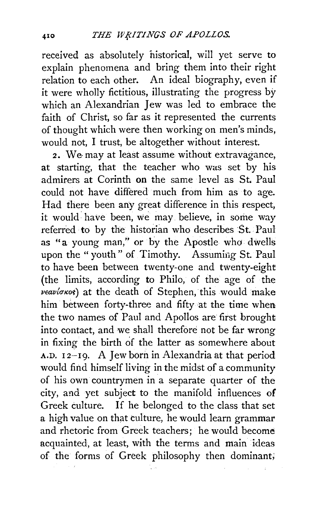received as absolutely historical, will yet serve to explain phenomena and bring them into their right relation to each other. An ideal biography, even if it were wholly fictitious, illustrating the progress by which an Alexandrian Jew was led to embrace the faith of Christ, so far as it represented the currents of thought which were then working on men's minds, would not, I trust, be altogether without interest.

2. We may at least assume without extravagance, at starting, that the teacher who was set by his admirers at Corinth on the same level as St. Paul could not have differed much from him as to age. Had there been any great difference in this respect, it would: have been, we may believe, in some way referred to by the historian who describes St. Paul as "a young man," or by the Apostle who dwells upon the "youth" of Timothy. Assuming St. Paul to have been between twenty-one and twenty-eight (the limits, according to Philo, of the age of the  $\chi$ veav( $\sigma$ Kos) at the death of Stephen, this would make him between forty-three and fifty at the time when the two names of Paul and Apollos are first brought into contact, and we shall therefore not be far wrong in fixing the birth of the latter as somewhere about A.D.  $12-19$ . A Jew born in Alexandria at that period would find himself living in the midst of a community of his own countrymen in a separate quarter of the city, and yet subject to the manifold influences of Greek culture. If he belonged to the class that set a high value on that culture, he would learn grammar and rhetoric from Greek teachers; he would become acquainted, at least, with the terms and main ideas of the forms of Greek philosophy then dominant;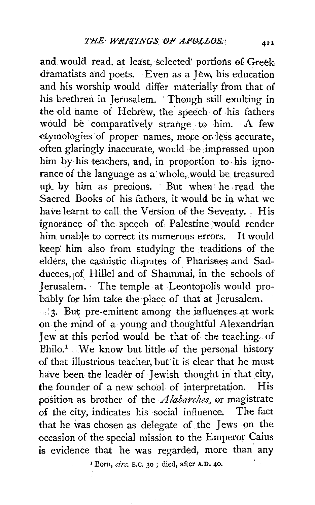and would read, at least, selected' portions of Greek. dramatists and poets. Even as a Jew, his education and his worship would differ materially from that of his brethren in Jerusalem. Though still exulting in the old name of Hebrew, the speech of his fathers would be comparatively strange to him. A few etymologies of proper names, more or less accurate, often glaringly inaccurate, would be impressed upon him by his teachers, and, in proportion to his ignorance of the language as a whole, would be treasured up, by him as precious. But when he read the Sacred Books of his fathers, it would be in what we have learnt to call the Version of the Seventy. . His ignorance of the speech of Palestine would render him unable to correct its numerous errors. It would keep' him also from studying the traditions· of the elders, the casuistic disputes of Pharisees .and Sadducees, 1of Hillel and of Shammai, in the schools of Jerusalem. The temple at Leontopolis would probably for him take the place of that at Jerusalem.

 $\cdot$  3. But pre-eminent among the influences at work on the mind of a young and thoughtful Alexandrian Jew at this period would be that of the teaching. of  $Phi^{-1}$ . We know but little of the personal history of that illustrious teacher, but it is clear that he must have been the leader of Jewish thought in that city, the fourider of a new school of interpretation. His position as brother of the *A labarches,* or magistrate of the city, indicates his social influence. The fact that he was chosen as delegate of the Jews on the occasion of the special mission to the Emperor Caius is evidence that he was regarded, more than any

1 Born, *circ.* B.C. 30 ; died, after A.D. 40.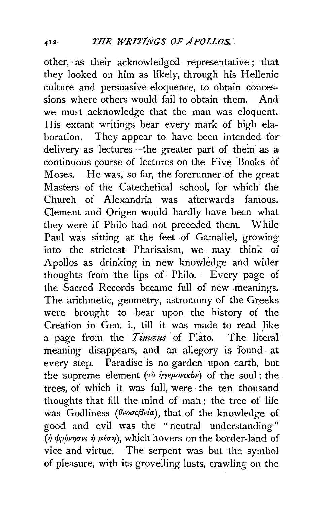other, as their acknowledged representative; that they looked on him as likely, through his Hellenic culture and persuasive eloquence, to obtain conces· sions where others would fail to obtain them. And we must acknowledge that the man was eloquent. His extant writings bear every mark of high elaboration. They appear to have been intended for delivery as lectures—the greater part of them as a continuous course of lectures on the Five Books of Moses. He was, so far, the forerunner of the great Masters of the Catechetical school, for which the Church of Alexandria was afterwards famous. Clement and Origen would hardly have been what they were if Philo had not preceded them. While Paul was sitting at the feet of Gamaliel, growing into the strictest Pharisaism) we . may think of Apollos as drinking in new knowledge and wider thoughts from the lips of Philo. Every page of the Sacred Records became full of new meanings. The arithmetic, geometry, astronomy of the Greeks were brought to bear upon the history of the Creation in Gen. i., till it was made to read like a page from the *Timaus* of Plato. The literal meaning disappears, and an allegory is found at every step. Paradise is no garden upon earth, but the supreme element ( $\tau\delta$   $\hat{\eta}\gamma\epsilon\mu\omega\nu\kappa\delta\nu$ ) of the soul; the trees, of which it was full, were the ten thousand thoughts that fill the mind of man; the tree of life was Godliness (θεοσεβεία), that of the knowledge of good and evil was the " neutral understanding" (ή φρόνησις ή μέση), which hovers on the border-land of vice and virtue. The serpent was but the symbol of pleasure, with its grovelling lusts, crawling on the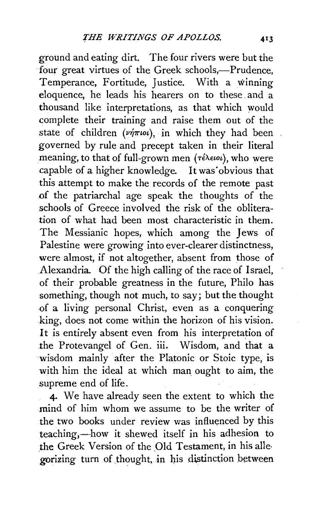ground and eating dirt. The.four rivers were but the four great virtues of the Greek schools,-Prudence, Temperance, Fortitude, Justice. With a winning eloquence, he leads his hearers on to these. and a thousand like interpretations, as that which would complete their training and raise them out of the state of children  $(\nu \dot{\eta} \pi \omega)$ , in which they had been governed by rule and precept taken in their literal meaning, to that of full-grown men ( $\tau \in \lambda \in \omega$ ), who were capable of a higher knowledge. It was obvious that this attempt to make the records of the remote past of the patriarchal age speak the thoughts of the schools of Greece involved the risk of the obliteration of what had been most characteristic in them. The Messianic hopes, which among the Jews of Palestine were growing into ever-clearer distinctness, were almost, if not altogether, absent from those of Alexandria. Of the high calling of the race of Israel, of their probable greatness in the future, Philo has something, though not much, to say; but the thought of a living personal Christ, even as a conquering king, does not come within the horizon of his vision. It is entirely absent even from his interpretation of the Protevangel of Gen. iii. Wisdom, and that a wisdom mainly after the Platonic or Stoic type, is with him the ideal at which man ought to aim, the supreme end of life.

4· We have already seen the extent to which the mind of him whom we assume to be the writer of the two books under review was influenced by this teaching,—how it shewed itself in his adhesion to the Greek Version of the Old Testament, in his allegorizing turn of thought, in his distinction between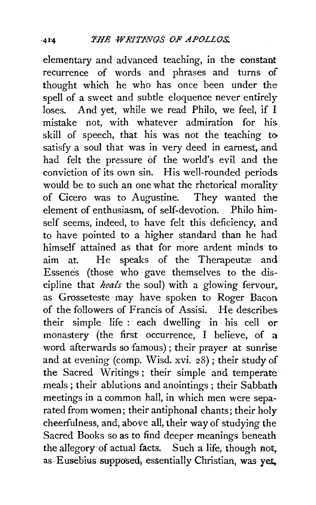elementary and advanced teaching, in the constant recurrence of words and phrases and · turns of thought which he who has once been under the spell of a sweet and subtle eloquence never entirely loses. And yet, while we read Philo, we feel, if I mistake not, with whatever admiration for his skill of speech, that his was not the teaching to satisfy a soul that was in very deed in earnest, and had felt the pressure of the world's evil and the conviction of its own sin. His well-rounded periods would be to such an one what the rhetorical morality of Cicero was to Augustine. They wanted the element of enthusiasm, of self-devotion. . Philo himself seems, indeed, to have felt this deficiency, and to have pointed to a higher standard than he had himself attained as that for more ardent minds to aim at. He speaks of the Therapeutæ and Essenes (those who gave themselves to the discipline that *heals* the soul) with a glowing fervour, as Grosseteste may have spoken to Roger Bacon of the followers of Frantis of Assisi. He describes their simple life : each dwelling in his cell or monastery (the first occurrence, I believe, of a word afterwards sofamous); their prayer at sunrise and at evening (comp. Wisd. xvi. 28); their study of the Sacred Writings; their simple and temperate meals; their ablutions and anointings; their Sabbath meetings in a common hall, in which men were separated from women; their antiphonal chants; their holy cheerfulness, and, above all, their way of studying the Sacred Books so as to find deeper meanings. beneath the allegory•of actual facts. Such a life, though not. as. Eusebius supposed, essentially Christian, was yet,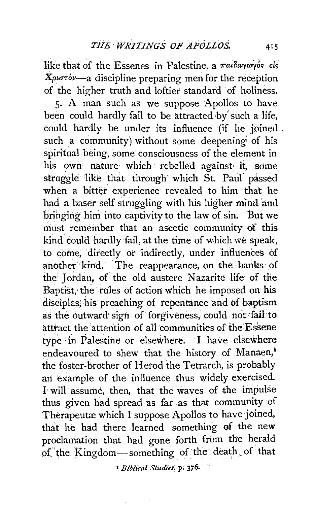like that of the Essenes in Palestine, a  $\pi a \iota \delta a \gamma \omega \gamma \delta s$  els *Xpunov-a* discipline preparing men for the reception of the higher truth and loftier standard of holiness. 5. A man such as we suppose Apollos to have been could hardly fail to be attracted by such a life, could hardly be under its influence (if he joined such a community) without some deepening of his spiritual being, some consciousness of the element in his own nature which rebelled against it, some struggle like that through which St. Paul passed when a bitter experience revealed to him that he had a baser self struggling with his higher mind and bringing him into captivity to the law of sin. But we must remember that an ascetic community of this kind could hardly fail, at the time of which we speak, to come; directly or indirectly, under influences of another kind. The reappearance, on the banks of the Jordan, of the old austere Nazarite life of the Baptist, the rules of action which he imposed on his disciples, his preaching of repentance and of baptism as the outward sign of forgiveness, could not fail to attract the attention of all communities of the Essene type in Palestine or elsewhere. I have elsewhere endeavoured to shew that the history of Manaen,<sup>1</sup> the foster-brother of Herod the Tetrarch, is probably an example of the influence thus widely exercised. 1 will assume, then, that the waves of the impulse thus given had spread as far as that community of Therapeutæ which I suppose Apollos to have joined, that he had there learned something of the new proclamation that had gone forth from the herald of 'the Kingdom-something of the death of that

<sup>1</sup>*Biblical Studies,* p. 376~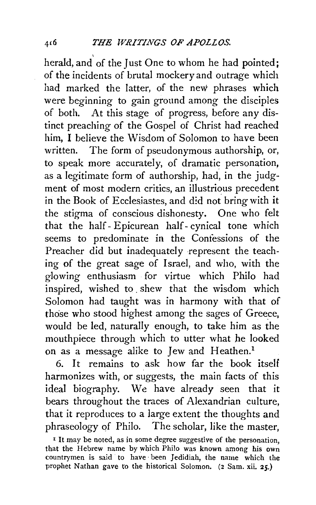herald, and of the Just One to whom he had pointed; of the incidents of brutal mockery and outrage which had marked the latter, of the new phrases which were beginning to gain ground among the disciples of both. At this stage of progress, before any distinct preaching of the Gospel of Christ had reached him, I believe the Wisdom of Solomon to have been written. The form of pseudonymous authorship, or, to speak more accurately, of dramatic personation, as a legitimate form of authorship, had, in the judgment of most modern critics, an illustrious precedent in the Book of Ecclesiastes, and d!d not bring with it the stigma of conscious dishonesty. One who felt that the half- Epicurean half- cynical tone which seems to predominate in the Confessions of the Preacher did but inadequately represent the teaching of the great sage of Israel, and who, with the glowing enthusiasm for virtue which Philo had inspired, wished to . shew that the wisdom which Solomon had taught was in harmony with that of those who stood highest among the sages of Greece, would be led, naturally enough, to take him as the mouthpiece through which to utter what he looked on as a message alike to Jew and Heathen.<sup>1</sup>

6. It remains to ask how far the book itself harmonizes with, or suggests, the main facts of this ideal biography. We have already seen that it bears throughout the traces of Alexandrian culture, that it reproduces to a large extent the thoughts and phraseology qf Philo. The scholar, like the master,

x It may be noted, as in some degree suggestive of the personation, that the Hebrew name by which Philo was known among his own countrymen is said to have· been Jedidiah, the name which the prophet Nathan gave to the historical Solomon. (2 Sam. xii. 25.)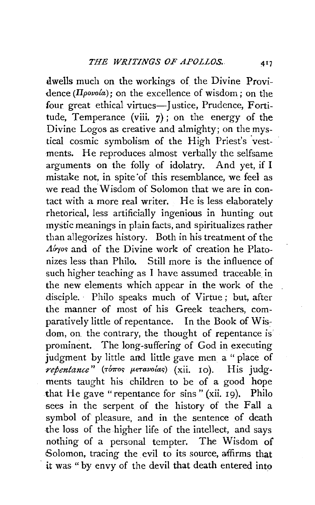dwells much on the workings of the Divine Providence *(llpovola);* on the excellence of wisdom; on the four great ethical virtues-Justice, Prudence, Fortitude, Temperance (viii.  $7$ ); on the energy of the Divine Logos as creative and almighty; on the mystical cosmic symbolism of the High Priest's vestments. He reproduces almost verbally the selfsame arguments on the folly of idolatry. And yet, if I mistake not, in spite of this resemblance, we feel as we read the Wisdom of Solomon that we are in contact with a more real writer. He is less elaborately rhetorical, less artificially ingenious in hunting out mystic meanings in plain facts, and spiritualizes rather than allegorizes history. Both in his treatment of the *A*<sub>o</sub><sup>*s*</sup>yos and of the Divine work of creation he Platonizes less than Philo. Still more is the influence of such higher teaching as I have assumed traceable in the new elements which appear in the work of the disciple. · Philo speaks much of Virtue ; but, after the manner of most of his Greek teachers, comparatively little of repentance. In the Book of Wisdom, on. the contrary, the thought of repentance is' prominent. The long-suffering of God in executing judgment by little and little gave men a " place of *repentance*" (τόπος μετανοίας) (xii. 10). His judgments taught his children to be of a good hope that He gave "repentance for sins" (xii. 19). Philo sees in the serpent of the history of the Fall a symbol of pleasure, and in the sentence of death the loss of the higher life of the intellect, and says nothing of a personal tempter. The Wisdom of Solomon, tracing the evil to its source, affirms that it was " by envy of the devil that death entered into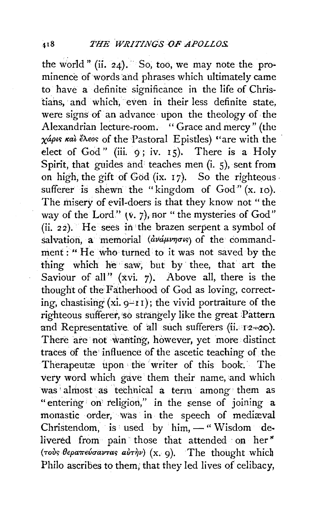the world" (ii. 24). So, too, we may note the prominence of words and phrases which ultimately came to have a definite significance in the life of Christians, and which, even in their less definite state, were signs of an advance upon the theology of the Alexandrian lecture-room. "Grace and mercy" (the χάρις και έλεος of the Pastoral Epistles) "are with the elect of God" (iii. 9; iv. 15). There is a Holv Spirit, that guides and teaches men  $(i, 5)$ , sent from on high, the gift of God (ix. 17). So the righteous. sufferer is shewn the "kingdom of  $God" (x. 10)$ . The misery of evil-doers is that they know not " the way of the Lord."  $(v, 7)$ , nor " the mysteries of God" (ii. 22). He sees in 'the brazen serpent a symbol of salvation, a memorial ( $\frac{dv\omega\mu}{v\pi}$ of the commandment: ''He who· turned to it was not saved by the thing which he saw, but by thee, that art the Saviour of all"  $(xvi. 7)$ . Above all, there is the thought of the Fatherhood of God as loving, correcting, chastising  $(xi, g-r1)$ ; the vivid portraiture of the righteous sufferer, so strangely like the great Pattern and Representative. of all such sufferers ( $ii$ . 12-20). There are not wanting, however, yet more distinct traces of the influence of the ascetic teaching of the Therapeutæ upon the writer of this book. The very word which gave them their name, and which was almost as technical a term among them as "entering on religion," in the sense of joining  $a$ monastic order, was in the speech of mediaval Christendom, is used by  $\lim_{n \to \infty}$  Wisdom delivered from pain those that attended on her" (*Tous θεραπεύσαντας auThu*) (x. 9). The thought which Philo ascribes to them; that they led lives of celibacy,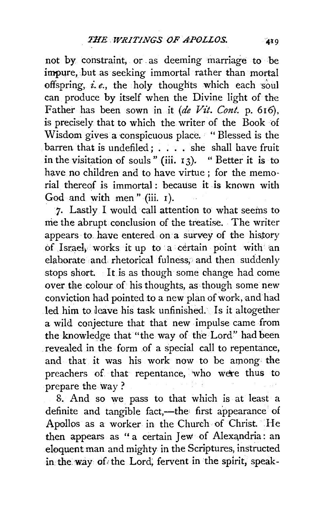not by constraint, or as deeming marriage to be impure, but as seeking immortal rather than mortal offspring, *i. e.,* the holy thoughts which each soul can produce by itself when the Divine light of the Father has been sown in it *(de Vit. Cont. p. 616)*, is precisely that to which the writer of the Book of Wisdom gives a conspicuous place. " Blessed is the barren that is undefiled: . . . . she shall have fruit in the visitation of souls" (iii. I 3). " Better it is to have no children and to have virtue : for the memorial thereqf is immortal : because it is known with God and with men " (iii. I).

7. Lastly I would call attention to what seems to me the abrupt conclusion of the treatise. The writer appears to. have entered on a survey of the history of Israeh works it up to a certain point with an elaborate and rhetorical fulness, and then suddenly stops short. It is as though some change had come over the colour of his thoughts, as though some new conviction had pointed to a new plan of work, and had led him to. leave his task unfinished. Is it altogether a wild conjecture that that new impulse came from the knowledge that "the way of the Lord" had been revealed in the form of a special call to repentance, and that it was his work now to be among the preachers of that repentance, who were thus to prepare the way ?

8. And so we pass to that which is at least a definite and tangible fact,—the first appearance of Apollos as a worker in the Church of Christ. He then appears as " a certain Jew of Alexandria: an eloquent man and mighty in the Scriptures, instructed in the. way of, the Lord; fervent in the spirit, speak-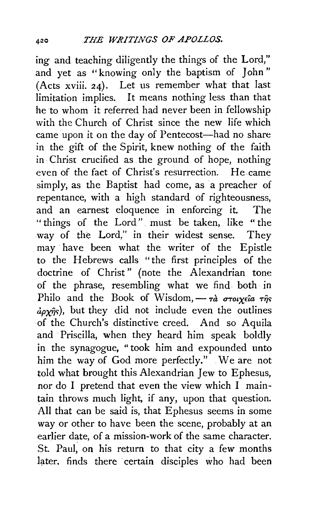ing and teaching diligently the things of the Lord," and yet as "knowing only the baptism of John" (Acts xviii. 24). Let us remember what that last limitation implies. It means nothing less than that he to whom it referred had never been in fellowship with the Church of Christ since the new life which came upon it on the day of Pentecost-had no share in the gift of the Spirit, knew nothing of the faith in Christ crucified as the ground of hope, nothing even of the fact of Christ's resurrection. He came simply, as the Baptist had come, as a preacher of repentance, with a high standard of righteousness, and an earnest eloquence in enforcing it. The " things of the Lord" must be taken, like " the way of the Lord," in their widest sense. They . may· have been what the writer of the Epistle to the Hebrews calls "the first principles of the doctrine of Christ" (note the Alexandrian tone of the phrase, resembling what we find both in Philo and the Book of Wisdom,  $-r\hat{a}$   $\sigma\tau o \nu \gamma \epsilon \hat{i} a \tau \hat{n} \gamma$ s  $\frac{\partial \rho \mathbf{y}_{\hat{\eta}s}}{\partial \mathbf{x}}$ , but they did not include even the outlines of the Church's distinctive creed. And so Aquila and Priscilla, when they heard him speak boldly in the synagogue, " took him and expounded unto him the way of God more perfectly." We are not told what brought this Alexandrian Jew to Ephesus, nor do I pretend that even the view which I maintain throws much light, if any, upon that question. All that can be said is, that Ephesus seems in some way or other to have been the scene, probably at an earlier date, of a mission-work of the same character. St. Paul, on his return to that city a few months later. finds there certain disciples who had been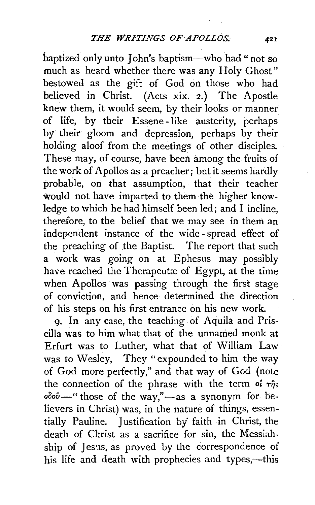baptized only unto John's baptism-who had" not so much as heard whether there was any Holy Ghost" bestowed as the gift of God on those who had believed in Christ. (Acts xix. 2.) The Apostle knew them, it would seem, by their looks or manner of life, by their Essene-like austerity, perhaps by their gloom and depression, perhaps by their' holding aloof from the meetings of other disciples. These may, of course, have been among the fruits of the work of Apollos as a preacher; but it seems hardly probable, on that assumption, that their teacher would not have imparted to them the higher knowledge to which he had himself been led; and I incline, therefore, to the belief that we may see in them an independent instance of the wide -spread effect of the preaching of the Baptist. The report that such a work was going on at Ephesus may possibly have reached the Therapeutæ of Egypt, at the time when Apollos was passing through the first stage of conviction, and hence determined the direction of his steps on his first entrance on his new work.

9. In any case, the teaching of Aquila and Priscilla was to him what that of the unnamed monk at Erfurt was to Luther, what that of William Law was to Wesley, They "expounded to him the way of God more perfectly," and that way of God (note the connection of the phrase with the term of  $\tau\hat{\eta}s$  $oδoθ$  - " those of the way," - as a synonym for believers in Christ) was, in the nature of things, essentially Pauline. Justification by' faith in Christ, the death of Christ as a sacrifice for sin, the Messiahship of Jesus, as proved by the correspondence of his life and death with prophecies and types,—this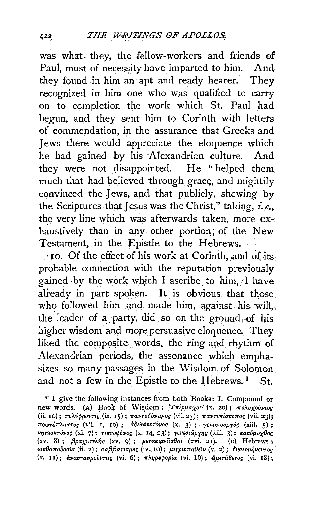was what they, the fellow-workers and friends of Paul, must of necessity have imparted to him. And they found in him an apt and ready hearer. They recognized in him one who was qualified to carry on to completion the work which St. Paul had begun, and they. sent him to Corinth with letters of commendation, in the assurance that Greeks and Jews there would appreciate the eloquence which he had gained by his Alexandrian culture. And they were not disappointed. He "helped them much that had believed through grace, and mightily convinced the Jews, and that publicly, shewing by the Scriptures that Jesus was the Christ," taking, *i.e.*, the very line which was afterwards taken, more exhaustively than in any other portion; of the New Testament, in the Epistle to the Hebrews.

10. Of the effect of his work at Corinth, and of its. probable connection with the reputation previously gained by the work which I ascribe to him,  $\lambda$  have already in part spoken. It is obvious that those. who followed him and made him, against his will, the leader of a party, did so on the ground of his higher wisdom and more persuasive eloquence. They liked the composite words, the ring and rhythm of Alexandrian periods, the assonance which emphasizes so many passages in the Wisdom of Solomon, and not a few in the Epistle to the Hebrews.<sup>1</sup> St.

<sup>I</sup> I give the following instances from both Books: I. Compound or new words. (A) Book of Wisdom: Υπέρμαχος (x. 20); πολυχρόνιος (ii. 10);  $\pi$ oλύφροντις (ix. 15);  $\pi$ aντοδύναμος (vii. 23);  $\pi$ aντε $\pi$ ίσκοπος (vii. 23);  $\pi \rho \omega \tau$ όπλαστος (vii. I, 10) ; άδελφοκτόνος (x. 3) ; γενεσιουργός (xiii. 5) ;  $\nu$ ηπιοκτόνος (xi. 7); τεκνοφόνος (x. 14, 23); γενεσιάρχης (xiii. 3); κακόμοχθος (xv. 8) ; βραχυτελής (xv. 9) ; μετακιρνάσθαι (xvi. 21). (B) Hebrews : uισθαποδοσία (ii. 2); σαββατισμός (iv. 10); μετριοπαθείν (v. 2); δυσερμήνευτος (v. 11);  $d$ νασταυρούντας (vi. 6); πληροφορία (vi. 10);  $d\mu$ ετάθετος (vi. 18);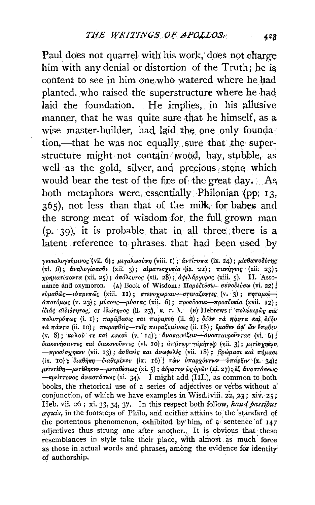Paul does not quarrel with his work, does not charge him with any denial or distortion of the Truth; he is content to see in him one who watered where he had planted. who raised the superstructure where he had laid the foundation. He implies, in his allusive manner, that he was quite sure that he himself, as a wise master-builder, had laid the one only foundation,—that he was not equally sure that the superstructure might not contain wood, hay, stubble, as well as the gold, silver, and precious stone which would bear the test of the fire of the great day. . As, both metaphors were essentially Philonian (pp. 13,  $365$ ), not less than that of the milk; for babes and the strong meat of wisdom for the full grown man  $(p, 39)$ , it is probable that in all three there is a latent reference to phrases. that had been used by

γενεαλογούμενος (vii. 6); μεγαλωσύνη (viii. 1); αντίτυπα (ix. 24); μίσθαποδότης (xi, 6);  $\dot{a}v\alpha\lambda$ oyio $a\sigma\theta\epsilon$  (xii; 3); aiµar $\epsilon\kappa\chi v\sigma i\alpha$  (jx. 22);  $\pi\alpha\nu\eta\gamma v\iota$ c (xii; 23); χρηματίτοντα (xii. 25); ασάλευτος (xii. 28); αφιλάργυρος (xiii. 5). II. Assonance and oxymoron. (A) Book of Wisd'om: Παροδεύσω-συνοδεύσω (vi. 22); εύμαθῶς--εύπρεπῶς (xiii. II); στενοχωριαν--στεναζοντες (v. 3); ποταμοίάποτόμως (v. 23); μύσους—μύστας (xii. 6); προσδοσια--προσδοκία (xvii. 12):  $i\partial_t$ άς αϊδιότητος, or ιδιότητος (ii. 23), κ. τ. λ. (B) Hebrews: πολύαερως και  $\pi$ ολυτρόπως (i. 1); παράβασις και παρακοή (ii. 2); δι'όν τα παντα καί δι'όυ  $\tau$ ά πάντα (ii. 10); πειρασθείς-τοις πειραζομένοις (ii. 18); έμαθεν άφ' ὦν έπαθεν (v. 8); καλού τε και κακού (v. 14); ανακαινιζειν-ανασταυρούντας (vi; 6) f  $\delta$ ιακονήσαντες και διακονούντες (vi. 10); απάτωρ--αμήτωρ (vii. 3); μετέσχηκεν  $-\pi$ ροσέσχηκεν (vii. 13); άσθενες και άνωφελες (vii. 18); βρώμασι και πόμασι (ix.  $10$ );  $\delta \alpha \theta \eta \kappa \eta$  -  $\delta \alpha \theta \epsilon \mu \epsilon \nu \omega$  (ix:  $16)$ ;  $\tau \omega \nu$   $\delta \pi \alpha \rho \chi \delta \nu \tau \omega \nu$  -  $\delta \pi \alpha \rho \xi \nu \chi$  (x. 34); μετετέθη—μετέθηκεν—μεταθέσεως (xi. 5); άόρατον ὼς φρῶν (xi. 27); εξ άναστάσεως  $-$ κρείττονος άναστάσεως (xi. 34). I might add (III.), as common to both bboks, the rhetorical use of a series of adjectives or verbs without *a:*  conjunction, of which we have examples in Wisd., viji. 22, 23; xiv. 25; Heb. vii. 26; xi. 33, 34, 37. In this respect both follow, *haud passibus aquis,* in the footsteps of Philo, and neither attains to. the 'stancfard of the portentous phenomenon, exhibited by him, of  $a$  sentence of  $147$ adjectives thus strung one after another. It is obvious that these resemblances in style take their place, with almost as much force as those in actual words and phrases, among the evidence for identity of authorship.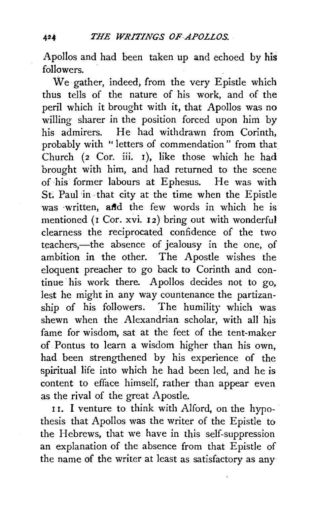Apollos and had been taken up and echoed by his followers.

We gather, indeed, from the very Epistle which thus tells of the nature of his work, and of the peril which it brought with it, that Apollos was no willing sharer in the position forced upon him by his admirers. He had withdrawn from Corinth, probably with " letters of commendation" from that Church (2 Cor. iii. 1), like those which he had brought with him, and had returned to the scene of his former labours at Ephesus. He was with St. Paul in that city at the time when the Epistle was written, and the few words in which he is mentioned (r Cor. xvi. 12) bring out with wonderful clearness the reciprocated confidence of the two teachers,—the absence of jealousy in the one, of ambition in the other. The Apostle wishes the eloquent preacher to go back to Corinth and continue his work there. Apollos decides not to go, lest he might in any way countenance the partizanship of his followers. The humility which was shewn when the Alexandrian scholar, with all his fame for wisdom, sat at the feet of the tent-maker of Pontus to learn a wisdom higher than his own, had been strengthened by his experience of the spiritual life into which he had been led, and he is content to efface himself, rather than appear even as the rival of the great Apostle.

11. I venture to think with Alford, on the hypothesis that Apollos was the writer of the Epistle to the Hebrews, that we have in this self-suppression an explanation of the absence from that Epistle of the name of the writer at least as satisfactory as any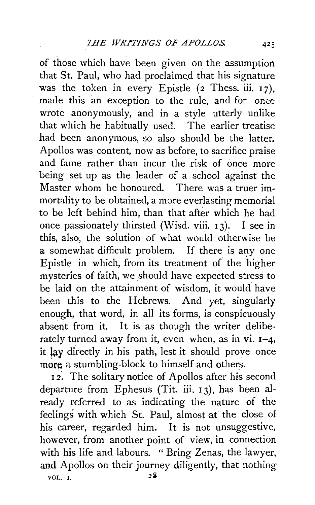of those which have been given on the assumption that St. Paul, who had proclaimed that his signature was the token in every Epistle  $(2$  Thess. iii. 17), made this an exception to the rule, and for once wrote anonymously, and in a style utterly unlike that which he habitually used. The earlier treatise had been anonymous, *so* also should be the latter. Apollos was content, now as before, to sacrifice praise and fame rather than incur the risk of once more being set up as the leader of a school against the Master whom he honoured. There was a truer immortality to be obtained, a more everlasting memorial to be left behind him, than that after which he had once passionately thirsted (Wisd. viii.  $13$ ). I see in this, also, the solution of what would otherwise be a somewhat difficult problem. If there is any one Epistle in which, from its treatment of the higher mysteries of faith, we should have expected stress to be laid on the attainment of wisdom, it would have been this to the Hebrews. And yet, singularly enough, that word, in all its forms, is conspicuously absent from it. It is as though the writer deliberately turned away from it, even when, as in vi.  $I-4$ , it lay directly in his path, lest it should prove once more a stumbling-block to himself and others.

<sup>I</sup>*2.* The solitary notice of Apollos after his second departure from Ephesus (Tit. iii. I 3), has been already referred to as indicating the nature of the feelings with which St. Paul, almost at the close of his career, regarded him. It is not unsuggestive, however, from another point of view, in connection with his life and labours. " Bring Zenas, the lawyer, and Apollos on their journey diligently, that nothing  $VOL. I. 28$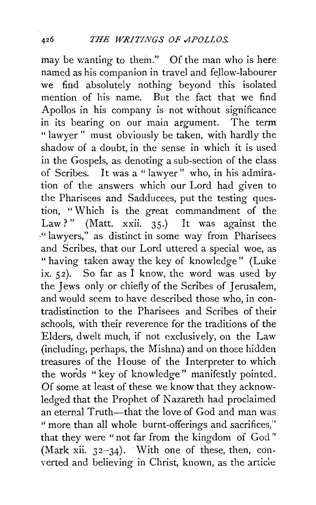may be wanting to them." Of the man who is here named as his companion in travel and fellow-labourer we find absolutely nothing beyond this isolated mention of his name. But the fact that we find Apollos in his company is not without significance in its bearing on our main argument. The term " lawyer" must obviously be taken, with hardly the shadow of a doubt, in the sense in which it is used in the Gospels, as denoting a sub-section of the class of Scribes. It was a " lawyer" who, in his admiration of the answers which our Lord had given to the Pharisees and Sadducees, put the testing question, "Which is the great commandment of the Law?" (Matt. xxii. 35.) It was against the -" lawyers," as distinct in some way from Pharisees and Scribes, that our Lord uttered a special woe, as "having taken away the key of knowledge" (Luke ix. 52). So far as I know, the word was used by the Jews only or chiefly of the Scribes of Jerusalem, and would seem to have described those who, in contradistinction to the Pharisees and Scribes of their schools, with their reverence for the traditions of the Elders, dwelt much, if not exclusively, on the Law  $(including, perhaps, the Mishna)$  and on those hidden treasures of the House of the Interpreter to which the words "key of knowledge" manifestly pointed. Of some at least of these we know that they acknowledged that the Prophet of Nazareth had proclaimed an eternal Truth-that the love of God and man was "more than all whole burnt-offerings and sacrifices," that they were " not far from the kingdom of God " (Mark xii.  $32-34$ ). With one of these, then, converted and believing in Christ, known, as the article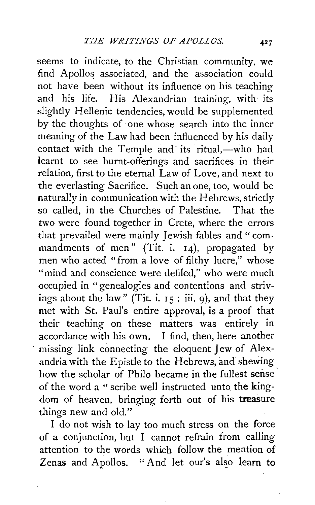seems to indicate, to the Christian community, we find Apollos associated, and the association could not have been without its influence on his teaching and his life. His Alexandrian training, with its slightly Hellenic tendencies, would be supplemented by the thoughts of one whose search into the inner meaning of the Law had been influenced by his daily contact with the Temple and its ritual,-who had learnt to see burnt-offerings and sacrifices in their relation, first to the eternal Law of Love, and next to the everlasting Sacrifice. Such an one, too, would be naturally in communication with the Hebrews, strictly so called, in the Churches of Palestine. That the two were found together in Crete, where the errors that prevailed were mainly Jewish fables and "commandments of men" (Tit. i. 14), propagated by men who acted "from a love of filthy lucre," whose "mind and conscience were defiled," who were much occupied in "genealogies and contentions and strivings about the law" (Tit. i.  $15$ ; iii. 9), and that they met with St. Paul's entire approval, is a proof that their teaching on these matters was entirely in accordance with his own. I find, then, here another missing link connecting the eloquent Jew of Alexandria with the Epistle to the Hebrews, and shewing how the scholar of Philo became in the fullest sense. of the word a "scribe well instructed unto the kingdom of heaven, bringing forth out of his treasure things new and old."

I do not wish to lay too much stress on the force of a conjunction, but I cannot refrain from calling attention to the words which follow the mention of Zenas and Apollos. "And let our's also learn to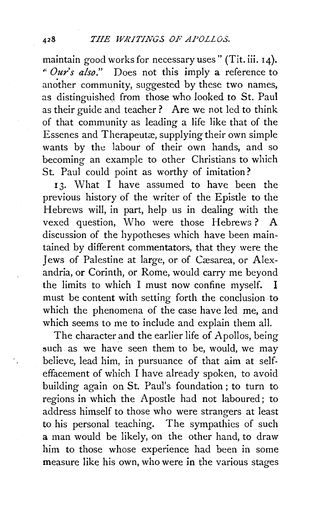maintain good works for necessary uses" (Tit. iii. 14). " *Our's also."* Does not this imply a reference to another community, suggested by these two names, as distinguished from those who looked to St. Paul as their guide and teacher? Are we not led to think of that community as leading a life like that of the Essenes and Therapeutæ, supplying their own simple wants by the labour of their own hands, and so becoming an example to other Christians to which St. Paul could point as worthy of imitation?

<sup>I</sup>3· What I have assumed to have been the previous history of the writer of the Epistle to the Hebrews will, in part, help us in dealing with the vexed question, Who were those Hebrews ? A discussion of the hypotheses which have been maintained by different commentators, that they were the Jews of Palestine at large, or of Cæsarea, or Alexandria, or Corinth, or Rome, would carry me beyond the limits to which I must now confine myself. I must be content with setting forth the conclusion. to which the phenomena of the case have led me, and which seems to me to include and explain them all.

The character and the earlier life of Apollos, being such as we have seen them to be, would, we may believe, lead him, in pursuance of that aim at selfeffacement of which I have already spoken, to avoid building again on St. Paul's foundation; to turn to regions in which the Apostle had not laboured; to address himself to those who were strangers at least to his personal teaching. The sympathies of such a man would be likely, on the other hand, to draw him to those whose experience had been in some measure like his own, who were in the various stages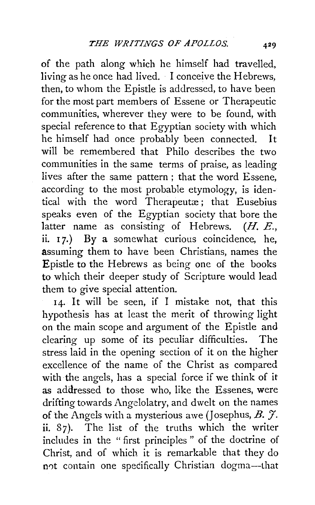of the path along which he himself had travelled, living as he once had lived. · I conceive the Hebrews, then, to whom the Epistle is addressed, to have been for the most part members of Essene or Therapeutic communities, wherever they were to be found, with special reference to that Egyptian society with which he himself had once probably been connected. It will be remembered that Philo describes the two communities in the same terms of praise, as leading lives after the same pattern ; that the word Essene, according to the most probable etymology, is identical with the word Therapeutae; that Eusebius speaks even of the Egyptian society that bore the latter name as consisting of Hebrews. *(H. E.,* ii.  $17.$ ) By a somewhat curious coincidence, he, assuming them to have been Christians, names the Epistle to the Hebrews as being one of the books to which their deeper study of Scripture would lead them to give special attention.

14. It will be seen, if I mistake not, that this hypothesis has at least the merit of throwing light on the main scope and argument of the Epistle and clearing up some of its peculiar difficulties. The stress laid in the opening section of it on the higher excellence of the name of the Christ as compared with the angels, has a special force if we think of it as addressed to those who, like the Essenes, were drifting towards Angelolatry, and dwelt on the names of the Angels with a mysterious awe (Josephus, B.  $\mathcal{F}$ . ii. 87). The list of the truths which the writer includes in the "first principles " of the doctrine of Christ, and of which it is remarkable that they do not contain one specifically Christian dogma-that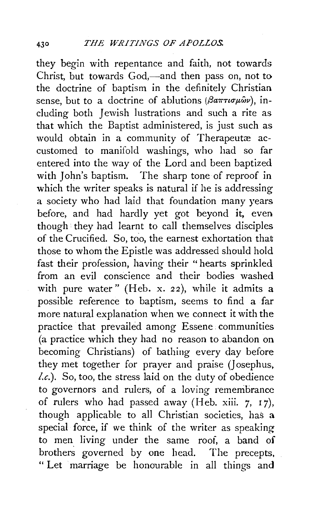they begin with repentance and faith, not towards Christ, but towards God,—and then pass on, not to the doctrine of baptism in the definitely Christian sense, but to a doctrine of ablutions ( $\beta a\pi\tau\iota\sigma\mu\omega v$ ), including both Jewish lustrations and such a rite as that which the Baptist administered, is just such as would obtain in a community of Therapeutæ accustomed to manifold washings, who had so far entered into the way of the Lord and been baptized with John's baptism. The sharp tone of reproof in which the writer speaks is natural if he is addressing a society who had laid that foundation many years before, and had hardly yet got beyond it, even though they had learnt to call themselves disciples of the Crucified. So, too, the earnest exhortation that those to whom the Epistle was addressed should hold fast their profession, having their "hearts sprinkled from an evil conscience and their bodies washed with pure water" (Heb. x. 22), while it admits a possible reference to baptism, seems to find a far more natural explanation when we connect it with the practice that prevailed among Essene. communities (a practice which they had no reason to abandon on becoming Christians) of bathing every day before they met together for prayer and praise (] osephus, *!.c.).* So, too, the stress laid on the duty of obedience to governors and rulers, of a loving remembrance of rulers who had passed away (Heb. xiii.  $7, 17$ ), though applicable to all Christian societies, has a special force, if we think of the writer as speaking to men living under the same roof, a band of brothers governed by one head. The precepts, " Let marriage be honourable in all things and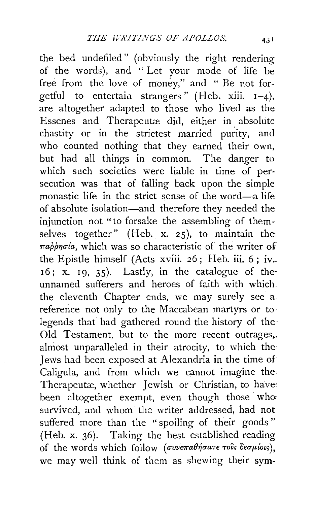the bed undefilcd" (obviously the right rendering of the words), and " Let your mode of life be free from the love of money," and " Be not forgetful to entertain strangers" (Heb. xiii. 1-4), are altogether adapted to those who lived as the Essenes and Therapeutæ did, either in absolute chastity or in the strictest married purity, and who counted nothing that they earned their own, but had all things in common. The danger to which such societies were liable in time of persecution was that of falling back upon the simple monastic life in the strict sense of the word-a life of absolute isolation-and therefore they needed the injunction not "to forsake the assembling of themselves together" (Heb. x. 25), to maintain the  $\pi a \rho \rho \eta \sigma \alpha$ , which was so characteristic of the writer of the Epistle himself (Acts xviii. 26; Heb. iii. 6; iv- $16$ ; x. 19, 35). Lastly, in the catalogue of theunnamed sufferers and heroes of faith with which. the eleventh Chapter ends, we may surely see a. reference not only to the Maccabean martyrs or to· legends that had gathered round the history of the· Old Testament, but to the more recent outrages,. almost unparalleled in their atrocity, to which the Jews had been exposed at Alexandria in the time of Caligula, and from which we cannot imagine the Therapeutæ, whether Jewish or Christian, to have: been altogether exempt, even though those who survived, and whom the writer addressed, had not suffered more than the "spoiling of their goods" (Heb. x. 36). Taking the best established reading of the words which follow ( $\sigma v$ ve $\pi a \theta \eta \sigma a \tau \epsilon \tau o \delta s$  δεσμίοιs), we may well think of them as shewing their sym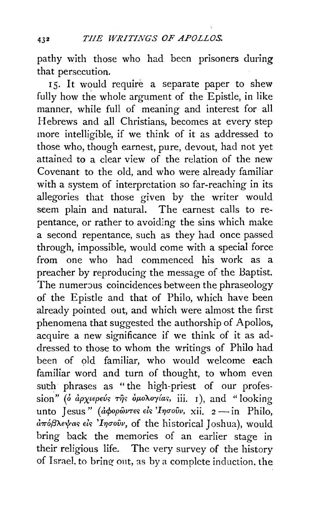pathy with those who had been prisoners during that persecution.

15. It would require a separate paper to shew fully how the whole argument of the Epistle, in like manner, while full of meaning and interest for all Hebrews and all Christians, becomes at every step more intelligible, if we think of it as addressed to those who, though earnest, pure, devout, had not yet attained to a clear view of the relation of the new Covenant to the old, and who were already familiar with a system of interpretation so far-reaching in its allegories that those given by the writer would seem plain and natural. The earnest calls to repentance, or rather to avoiding the sins which make a second repentance, such as they had once passed through, impossible, would come with a special force from one who had commenced his work as a preacher by reproducing the message of the Baptist. The numerous coincidences between the phraseology of the Epistle and that of Philo, which have been already pointed out, and which were almost the first phenomena that suggested the authorship of Apollos, acquire a new significance if we think of it as addressed to those to whom the writings of Philo had been of old familiar, who would welcome each familiar word and turn of thought, to whom even such phrases as "the high-priest of our profession" (δ άρχιερεύς της δμολογίας, iii. 1), and "looking unto Jesus" (*apopowres els 'Ingovy*, xii. 2 - in Philo, aπόβλεψας είς 'Iησούν, of the historical Joshua), would bring back the memories of an earlier stage in their religious life. The very survey of the history of Israel. to bring- out, as by a complete induction. the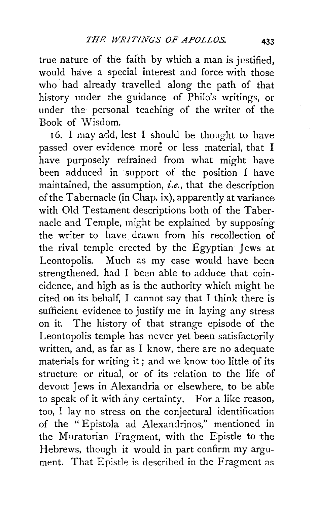true nature of the faith by which a man is justified, would have a special interest and force with those who· had already travelled. along the path of that history under the guidance of Philo's writings, or under the personal teaching of the writer of the Book of Wisdom.

16. I may add, lest I should be thought to have passed over evidence more or less material, that I have purposely refrained from what might have been adduced in support of the position I have maintained, the assumption, *£.e,,* that the description of the Tabernacle (in Chap. ix), apparently at variance with Old Testament descriptions both of the Tabernacle and Temple, might be explained by supposing the writer to have drawn from his recollection of the rival temple erected by the Egyptian Jews at Leontopolis. Much as my case would have been strengthened. had I been able to adduce that coincidence, and high as is the authority which might be cited on its behalf, I cannot say that I think there is sufficient evidence to justify me in laying any stress on it. The history of that strange episode of the Leontopolis temple has never yet been satisfactorily written, and, as far as I know, there are no adequate materials for writing it ; and we know too little of its structure or ritual, or of its relation to the life of devout Jews in Alexandria or elsewhere, to be able to speak of it with any certainty. For a like reason, too, I lay no stress on the conjectural identification of the "Epistola ad Alexandrinos," mentioned in the Muratorian Fragment, with the Epistle to the Hebrews, though it would in part confirm my argument. That Epistle is described in the Fragment as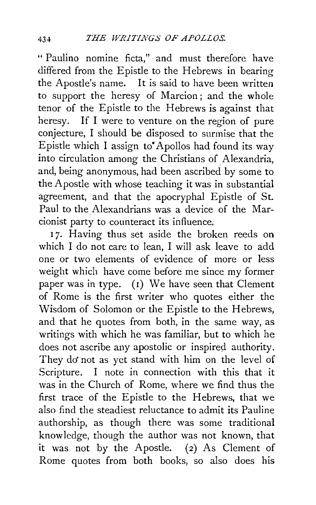" Paulino nomine ficta," and must therefore have differed from the Epistle to the Hebrews in bearing the Apostle's name. It is said to have been written to support the heresy of Marcion; and the whole tenor of the Epistle to the Hebrews is against that heresy. If I were to venture on the region of pure conjecture, I should be disposed to surmise that the Epistle which I assign to Apollos had found its way into circulation among the Christians of. Alexandria, and, being anonymous, had been ascribed by some to the Apostle with whose teaching it was in substantial agreement, and that the apocryphal Epistle of St. Paul to the Alexandrians was a device of the Marcionist party to counteract its influence.

17. Having thus set aside the broken reeds on which I do not care to lean, I will ask leave to add one or two elements of evidence of more or less weight which have come before me since my former paper was in type. (r) We have seen that Clement of Rome is the first writer who quotes either the Wisdom of Solomon or the Epistle to the Hebrews, and that he quotes from both, in the same way, as writings with which he was familiar, but to which he does not ascribe any apostolic or inspired authority. They do' not as yet stand with him on the level of Scripture. I note in connection with this that it was in the Church of Rome, where we find thus the first trace of the Epistle to the Hebrews, that we also find the steadiest reluctance to admit its Pauline authorship, as though there was some traditional know ledge, though the author was not known, that it was not by the Apostle. (2) As Clement of Rome quotes from both books, so also does his